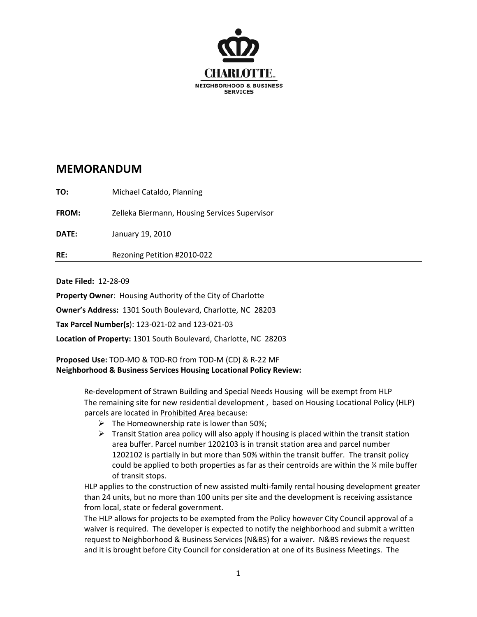

## **MEMORANDUM**

**TO:** Michael Cataldo, Planning

**FROM:** Zelleka Biermann, Housing Services Supervisor

**DATE:** January 19, 2010

**RE:**  Rezoning Petition #2010‐022

**Date Filed:** 12‐28‐09

**Property Owner**: Housing Authority of the City of Charlotte

**Owner's Address:** 1301 South Boulevard, Charlotte, NC 28203

**Tax Parcel Number(s**): 123‐021‐02 and 123‐021‐03

**Location of Property:** 1301 South Boulevard, Charlotte, NC 28203

**Proposed Use:** TOD‐MO & TOD‐RO from TOD‐M (CD) & R‐22 MF **Neighborhood & Business Services Housing Locational Policy Review:** 

> Re‐development of Strawn Building and Special Needs Housing will be exempt from HLP The remaining site for new residential development , based on Housing Locational Policy (HLP) parcels are located in Prohibited Area because:

- $\triangleright$  The Homeownership rate is lower than 50%;
- $\triangleright$  Transit Station area policy will also apply if housing is placed within the transit station area buffer. Parcel number 1202103 is in transit station area and parcel number 1202102 is partially in but more than 50% within the transit buffer. The transit policy could be applied to both properties as far as their centroids are within the ¼ mile buffer of transit stops.

HLP applies to the construction of new assisted multi‐family rental housing development greater than 24 units, but no more than 100 units per site and the development is receiving assistance from local, state or federal government.

The HLP allows for projects to be exempted from the Policy however City Council approval of a waiver is required. The developer is expected to notify the neighborhood and submit a written request to Neighborhood & Business Services (N&BS) for a waiver. N&BS reviews the request and it is brought before City Council for consideration at one of its Business Meetings. The